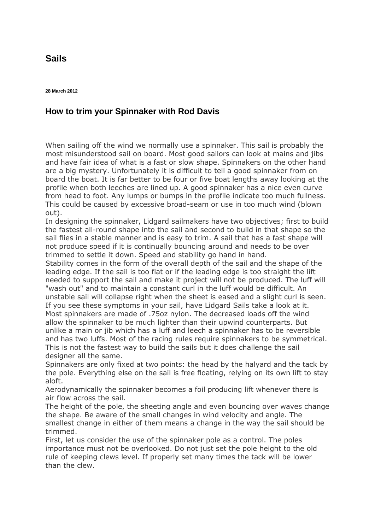## **[Sails](http://www.lidgardsails.com/contact.php)**

## **How to trim your Spinnaker with Rod Davis**

When sailing off the wind we normally use a spinnaker. This sail is probably the most misunderstood sail on board. Most good sailors can look at mains and jibs and have fair idea of what is a fast or slow shape. Spinnakers on the other hand are a big mystery. Unfortunately it is difficult to tell a good spinnaker from on board the boat. It is far better to be four or five boat lengths away looking at the profile when both leeches are lined up. A good spinnaker has a nice even curve from head to foot. Any lumps or bumps in the profile indicate too much fullness. This could be caused by excessive broad-seam or use in too much wind (blown out).

In designing the spinnaker, Lidgard sailmakers have two objectives; first to build the fastest all-round shape into the sail and second to build in that shape so the sail flies in a stable manner and is easy to trim. A sail that has a fast shape will not produce speed if it is continually bouncing around and needs to be over trimmed to settle it down. Speed and stability go hand in hand.

Stability comes in the form of the overall depth of the sail and the shape of the leading edge. If the sail is too flat or if the leading edge is too straight the lift needed to support the sail and make it project will not be produced. The luff will "wash out" and to maintain a constant curl in the luff would be difficult. An unstable sail will collapse right when the sheet is eased and a slight curl is seen. If you see these symptoms in your sail, have Lidgard Sails take a look at it. Most spinnakers are made of .75oz nylon. The decreased loads off the wind allow the spinnaker to be much lighter than their upwind counterparts. But unlike a main or jib which has a luff and leech a spinnaker has to be reversible and has two luffs. Most of the racing rules require spinnakers to be symmetrical. This is not the fastest way to build the sails but it does challenge the sail designer all the same.

Spinnakers are only fixed at two points: the head by the halyard and the tack by the pole. Everything else on the sail is free floating, relying on its own lift to stay aloft.

Aerodynamically the spinnaker becomes a foil producing lift whenever there is air flow across the sail.

The height of the pole, the sheeting angle and even bouncing over waves change the shape. Be aware of the small changes in wind velocity and angle. The smallest change in either of them means a change in the way the sail should be trimmed.

First, let us consider the use of the spinnaker pole as a control. The poles importance must not be overlooked. Do not just set the pole height to the old rule of keeping clews level. If properly set many times the tack will be lower than the clew.